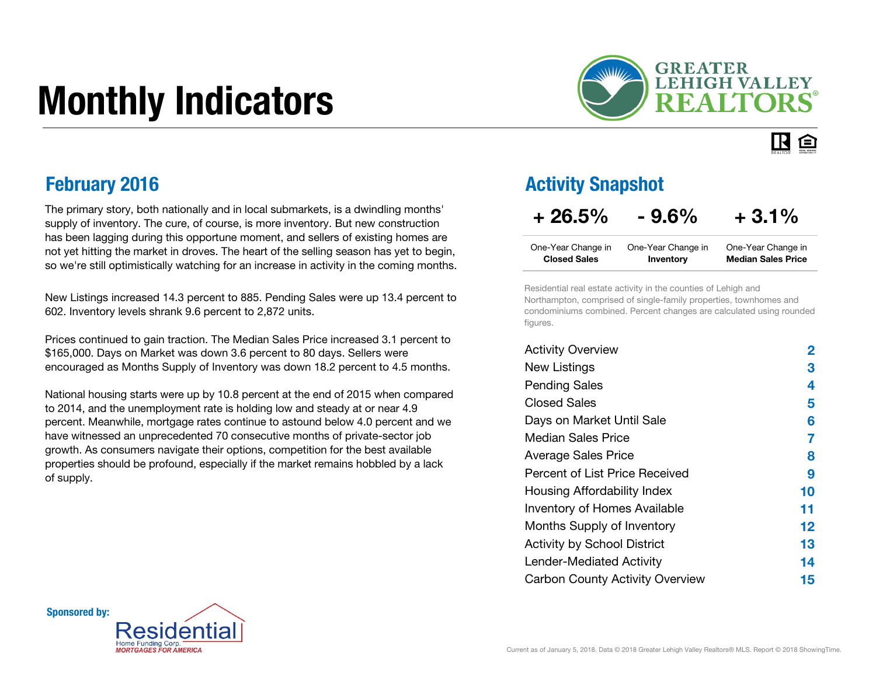# Monthly Indicators



#### IR. 臼

The primary story, both nationally and in local submarkets, is a dwindling months' supply of inventory. The cure, of course, is more inventory. But new construction has been lagging during this opportune moment, and sellers of existing homes are not yet hitting the market in droves. The heart of the selling season has yet to begin, so we're still optimistically watching for an increase in activity in the coming months.

New Listings increased 14.3 percent to 885. Pending Sales were up 13.4 percent to 602. Inventory levels shrank 9.6 percent to 2,872 units.

Prices continued to gain traction. The Median Sales Price increased 3.1 percent to \$165,000. Days on Market was down 3.6 percent to 80 days. Sellers were encouraged as Months Supply of Inventory was down 18.2 percent to 4.5 months.

National housing starts were up by 10.8 percent at the end of 2015 when compared to 2014, and the unemployment rate is holding low and steady at or near 4.9 percent. Meanwhile, mortgage rates continue to astound below 4.0 percent and we have witnessed an unprecedented 70 consecutive months of private-sector job growth. As consumers navigate their options, competition for the best available properties should be profound, especially if the market remains hobbled by a lack of supply.Percent of List Price Received

#### **February 2016 Activity Snapshot Activity Snapshot**

#### $+26.5\% - 9.6\% + 3.1\%$

| One-Year Change in  | One-Year Change in | One-Year Change in        |
|---------------------|--------------------|---------------------------|
| <b>Closed Sales</b> | Inventory          | <b>Median Sales Price</b> |

Residential real estate activity in the counties of Lehigh and Northampton, comprised of single-family properties, townhomes and condominiums combined. Percent changes are calculated using rounded figures.

| <b>Activity Overview</b>               | 2  |
|----------------------------------------|----|
| <b>New Listings</b>                    | З  |
| <b>Pending Sales</b>                   | 4  |
| <b>Closed Sales</b>                    | 5  |
| Days on Market Until Sale              | 6  |
| Median Sales Price                     | 7  |
| <b>Average Sales Price</b>             | 8  |
| Percent of List Price Received         | 9  |
| Housing Affordability Index            | 10 |
| <b>Inventory of Homes Available</b>    | 11 |
| Months Supply of Inventory             | 12 |
| <b>Activity by School District</b>     | 13 |
| <b>Lender-Mediated Activity</b>        | 14 |
| <b>Carbon County Activity Overview</b> | 15 |

Sponsored by:

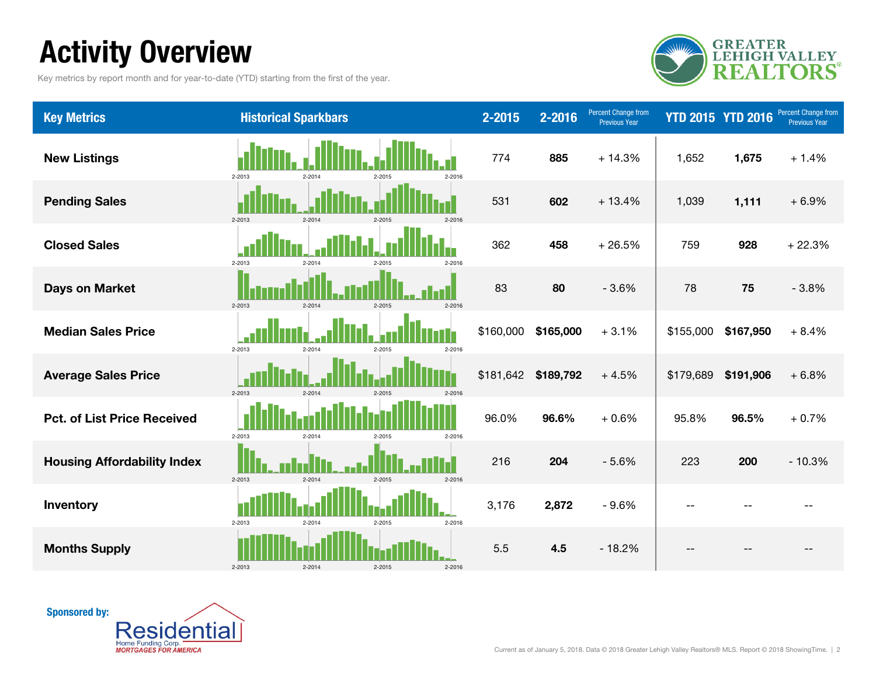### Activity Overview

Key metrics by report month and for year-to-date (YTD) starting from the first of the year.



| <b>Key Metrics</b>                 | <b>Historical Sparkbars</b>                          | $2 - 2015$ | $2 - 2016$ | Percent Change from<br><b>Previous Year</b> | <b>YTD 2015 YTD 2016</b> |           | Percent Change from<br><b>Previous Year</b> |
|------------------------------------|------------------------------------------------------|------------|------------|---------------------------------------------|--------------------------|-----------|---------------------------------------------|
| <b>New Listings</b>                | 2-2013<br>$2 - 2016$<br>$2 - 2014$<br>2-2015         | 774        | 885        | $+14.3%$                                    | 1,652                    | 1,675     | $+1.4%$                                     |
| <b>Pending Sales</b>               | $2 - 2013$<br>$2 - 2014$<br>$2 - 2015$<br>2-2016     | 531        | 602        | $+13.4%$                                    | 1,039                    | 1,111     | $+6.9%$                                     |
| <b>Closed Sales</b>                | 2-2013<br>$2 - 2014$<br>$2 - 2016$<br>2-2015         | 362        | 458        | $+26.5%$                                    | 759                      | 928       | $+22.3%$                                    |
| <b>Days on Market</b>              | $2 - 2013$<br>$2 - 2014$<br>$2 - 2015$<br>$2 - 2016$ | 83         | 80         | $-3.6%$                                     | 78                       | 75        | $-3.8%$                                     |
| <b>Median Sales Price</b>          | 2-2013<br>$2 - 2014$<br>$2 - 2015$<br>$2 - 2016$     | \$160,000  | \$165,000  | $+3.1%$                                     | \$155,000                | \$167,950 | $+8.4%$                                     |
| <b>Average Sales Price</b>         | $2 - 2013$<br>$2 - 2014$<br>$2-2015$<br>$2 - 2016$   | \$181,642  | \$189,792  | $+4.5%$                                     | \$179,689                | \$191,906 | $+6.8%$                                     |
| <b>Pct. of List Price Received</b> | 2-2013<br>$2 - 2014$<br>$2 - 2016$<br>$2 - 2015$     | 96.0%      | 96.6%      | $+0.6%$                                     | 95.8%                    | 96.5%     | $+0.7%$                                     |
| <b>Housing Affordability Index</b> | 2-2013<br>$2 - 2014$<br>$2 - 2015$<br>2-2016         | 216        | 204        | $-5.6%$                                     | 223                      | 200       | $-10.3%$                                    |
| Inventory                          | 2-2013<br>2-2014<br>2-2016<br>2-2015                 | 3,176      | 2,872      | $-9.6%$                                     |                          |           |                                             |
| <b>Months Supply</b>               | $2 - 2014$<br>$2 - 2015$<br>$2 - 2016$<br>2-2013     | 5.5        | 4.5        | $-18.2%$                                    |                          |           |                                             |

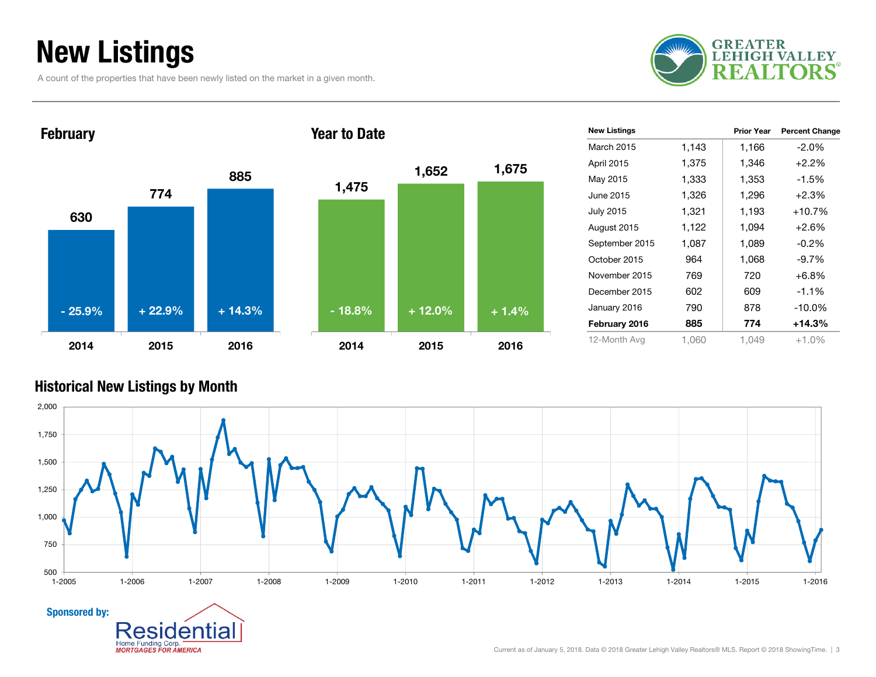### New Listings

A count of the properties that have been newly listed on the market in a given month.





| <b>New Listings</b> |       | <b>Prior Year</b> | <b>Percent Change</b> |
|---------------------|-------|-------------------|-----------------------|
| March 2015          | 1,143 | 1,166             | $-2.0\%$              |
| <b>April 2015</b>   | 1,375 | 1,346             | $+2.2%$               |
| May 2015            | 1,333 | 1,353             | $-1.5%$               |
| June 2015           | 1,326 | 1,296             | $+2.3%$               |
| <b>July 2015</b>    | 1,321 | 1,193             | $+10.7%$              |
| August 2015         | 1,122 | 1,094             | $+2.6%$               |
| September 2015      | 1,087 | 1,089             | $-0.2\%$              |
| October 2015        | 964   | 1,068             | $-9.7%$               |
| November 2015       | 769   | 720               | $+6.8%$               |
| December 2015       | 602   | 609               | $-1.1%$               |
| January 2016        | 790   | 878               | $-10.0%$              |
| February 2016       | 885   | 774               | $+14.3%$              |
| 12-Month Avg        | 1,060 | 1.049             | $+1.0%$               |

#### Historical New Listings by Month

en

Home Funding Corp. **MORTGAGES FOR AMERICA** 

ıtıa

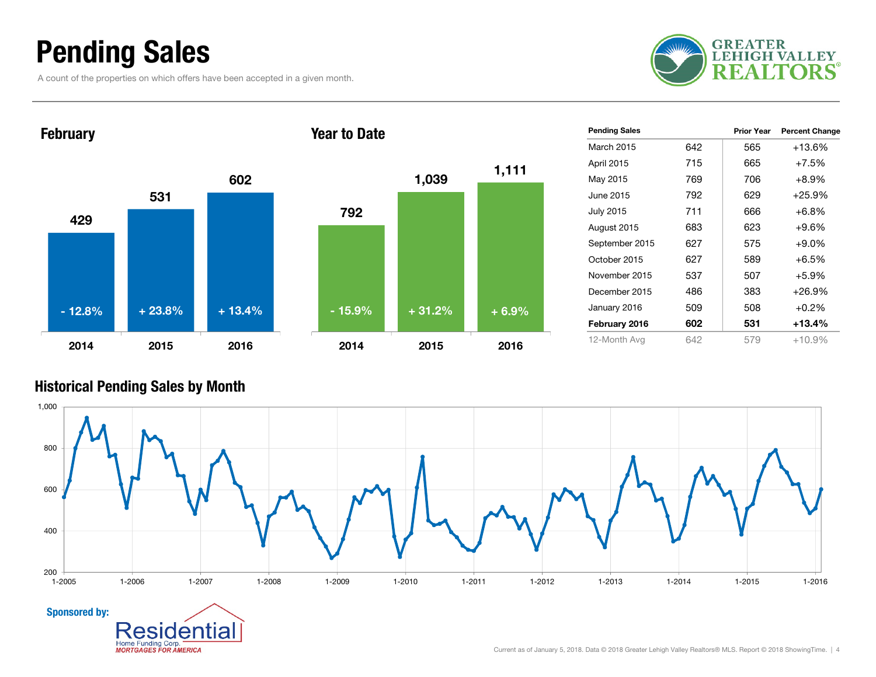### Pending Sales

A count of the properties on which offers have been accepted in a given month.





| <b>Pending Sales</b> |     | <b>Prior Year</b> | <b>Percent Change</b> |
|----------------------|-----|-------------------|-----------------------|
| March 2015           | 642 | 565               | +13.6%                |
| April 2015           | 715 | 665               | $+7.5%$               |
| May 2015             | 769 | 706               | $+8.9%$               |
| June 2015            | 792 | 629               | $+25.9%$              |
| <b>July 2015</b>     | 711 | 666               | $+6.8%$               |
| August 2015          | 683 | 623               | $+9.6%$               |
| September 2015       | 627 | 575               | $+9.0\%$              |
| October 2015         | 627 | 589               | $+6.5%$               |
| November 2015        | 537 | 507               | $+5.9%$               |
| December 2015        | 486 | 383               | $+26.9%$              |
| January 2016         | 509 | 508               | $+0.2%$               |
| February 2016        | 602 | 531               | $+13.4%$              |
| 12-Month Avg         | 642 | 579               | +10.9%                |

#### Historical Pending Sales by Month

ıtıa

en

Home Funding Corp. **MORTGAGES FOR AMERICA** 

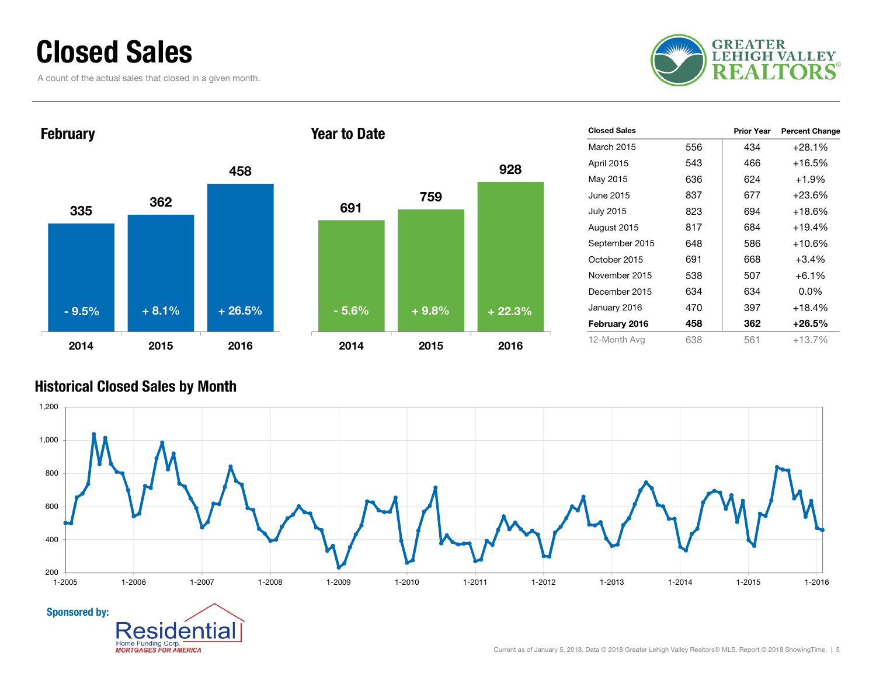### Closed Sales

A count of the actual sales that closed in a given month.





| <b>Closed Sales</b> |     | <b>Prior Year</b> | <b>Percent Change</b> |
|---------------------|-----|-------------------|-----------------------|
| March 2015          | 556 | 434               | $+28.1%$              |
| April 2015          | 543 | 466               | $+16.5%$              |
| May 2015            | 636 | 624               | $+1.9%$               |
| June 2015           | 837 | 677               | $+23.6\%$             |
| <b>July 2015</b>    | 823 | 694               | $+18.6%$              |
| August 2015         | 817 | 684               | $+19.4%$              |
| September 2015      | 648 | 586               | $+10.6%$              |
| October 2015        | 691 | 668               | $+3.4%$               |
| November 2015       | 538 | 507               | $+6.1\%$              |
| December 2015       | 634 | 634               | $0.0\%$               |
| January 2016        | 470 | 397               | $+18.4%$              |
| February 2016       | 458 | 362               | $+26.5\%$             |
| 12-Month Avg        | 638 | 561               | $+13.7%$              |

#### Historical Closed Sales by Month

Home Funding Corp.

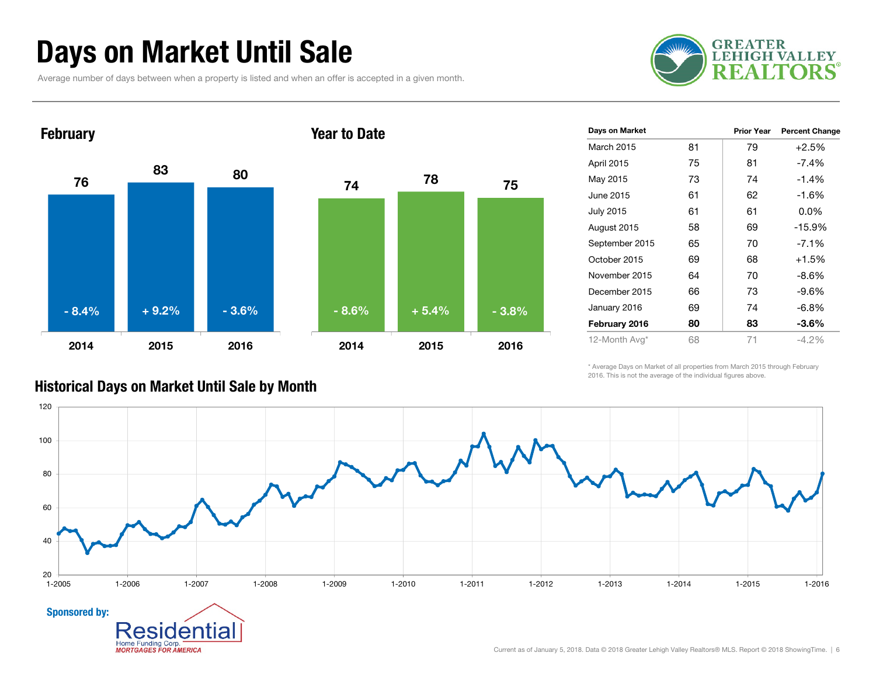### Days on Market Until Sale

Average number of days between when a property is listed and when an offer is accepted in a given month.





| Days on Market   |    | <b>Prior Year</b> | <b>Percent Change</b> |
|------------------|----|-------------------|-----------------------|
| March 2015       | 81 | 79                | $+2.5%$               |
| April 2015       | 75 | 81                | $-7.4%$               |
| May 2015         | 73 | 74                | $-1.4\%$              |
| June 2015        | 61 | 62                | $-1.6%$               |
| <b>July 2015</b> | 61 | 61                | $0.0\%$               |
| August 2015      | 58 | 69                | $-15.9%$              |
| September 2015   | 65 | 70                | $-7.1%$               |
| October 2015     | 69 | 68                | $+1.5%$               |
| November 2015    | 64 | 70                | -8.6%                 |
| December 2015    | 66 | 73                | -9.6%                 |
| January 2016     | 69 | 74                | -6.8%                 |
| February 2016    | 80 | 83                | $-3.6\%$              |
| 12-Month Avg*    | 68 | 71                | $-4.2\%$              |

\* Average Days on Market of all properties from March 2015 through February 2016. This is not the average of the individual figures above.



#### Historical Days on Market Until Sale by Month

**MORTGAGES FOR AMERICA**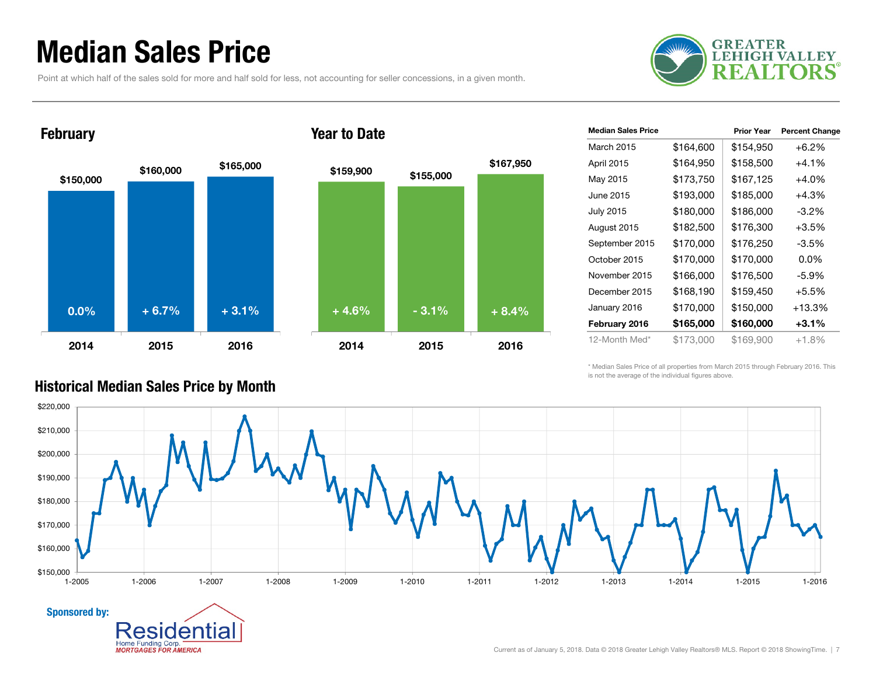### Median Sales Price

Point at which half of the sales sold for more and half sold for less, not accounting for seller concessions, in a given month.





#### Year to Date



\* Median Sales Price of all properties from March 2015 through February 2016. This is not the average of the individual figures above.



#### Historical Median Sales Price by Month

**Home Funding Corp MORTGAGES FOR AMERICA** 

Sponsored by: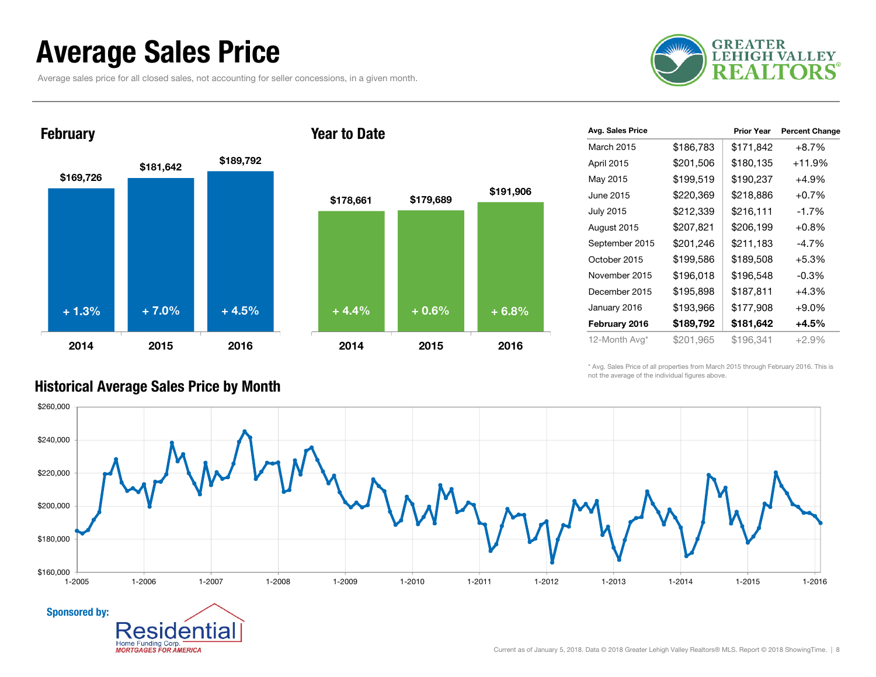### Average Sales Price

Average sales price for all closed sales, not accounting for seller concessions, in a given month.



## \$169,726 \$181,642 \$189,792 2014 2015 2016**February** + 1.3% $\%$  + 7.0% + 4.5% + 4.4% + 0.6% + 6.8%

#### Year to Date



| Avg. Sales Price |           | <b>Prior Year</b> | <b>Percent Change</b> |
|------------------|-----------|-------------------|-----------------------|
| March 2015       | \$186,783 | \$171,842         | $+8.7%$               |
| April 2015       | \$201,506 | \$180,135         | $+11.9%$              |
| May 2015         | \$199,519 | \$190,237         | +4.9%                 |
| June 2015        | \$220,369 | \$218,886         | $+0.7%$               |
| <b>July 2015</b> | \$212,339 | \$216,111         | $-1.7%$               |
| August 2015      | \$207,821 | \$206,199         | $+0.8\%$              |
| September 2015   | \$201,246 | \$211,183         | -4.7%                 |
| October 2015     | \$199,586 | \$189,508         | $+5.3%$               |
| November 2015    | \$196,018 | \$196,548         | $-0.3\%$              |
| December 2015    | \$195,898 | \$187,811         | $+4.3%$               |
| January 2016     | \$193,966 | \$177,908         | $+9.0%$               |
| February 2016    | \$189,792 | \$181,642         | $+4.5%$               |
| 12-Month Avg*    | \$201,965 | \$196,341         | $+2.9%$               |

\* Avg. Sales Price of all properties from March 2015 through February 2016. This is not the average of the individual figures above.



#### Historical Average Sales Price by Month

Aľ

Home Funding Corp. **MORTGAGES FOR AMERICA**  ıа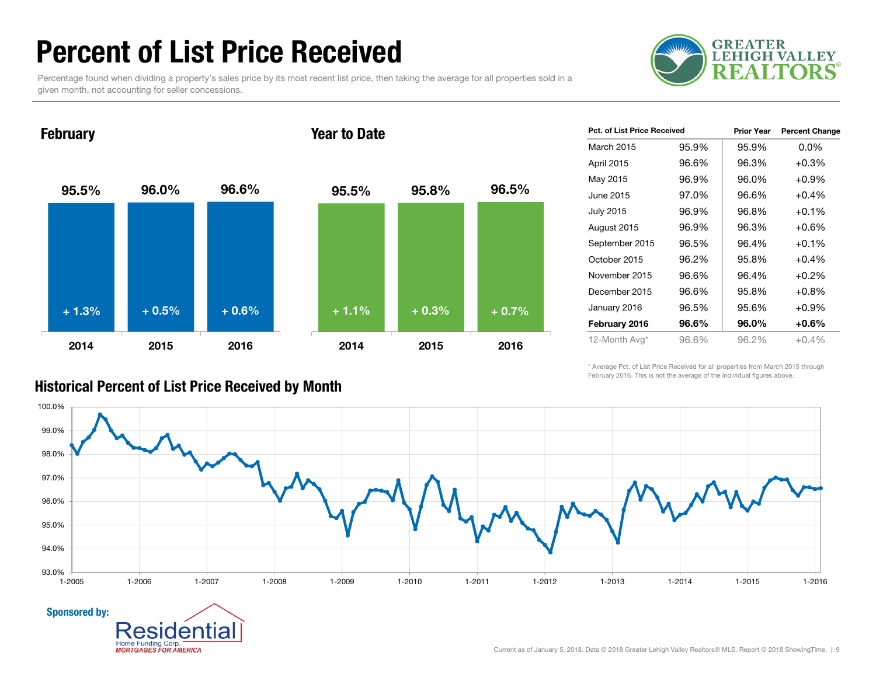### Percent of List Price Received

Percentage found when dividing a property's sales price by its most recent list price, then taking the average for all properties sold in a given month, not accounting for seller concessions.



**February** 

Sponsored by:

**Home Funding Corp MORTGAGES FOR AMERICA** 

#### Year to Date



| <b>Pct. of List Price Received</b> |       | <b>Prior Year</b> | <b>Percent Change</b> |
|------------------------------------|-------|-------------------|-----------------------|
| March 2015                         | 95.9% | 95.9%             | $0.0\%$               |
| April 2015                         | 96.6% | 96.3%             | $+0.3%$               |
| May 2015                           | 96.9% | 96.0%             | $+0.9%$               |
| June 2015                          | 97.0% | 96.6%             | $+0.4%$               |
| <b>July 2015</b>                   | 96.9% | 96.8%             | $+0.1%$               |
| August 2015                        | 96.9% | 96.3%             | $+0.6%$               |
| September 2015                     | 96.5% | 96.4%             | $+0.1%$               |
| October 2015                       | 96.2% | 95.8%             | $+0.4%$               |
| November 2015                      | 96.6% | 96.4%             | $+0.2%$               |
| December 2015                      | 96.6% | 95.8%             | $+0.8%$               |
| January 2016                       | 96.5% | 95.6%             | $+0.9%$               |
| February 2016                      | 96.6% | 96.0%             | $+0.6\%$              |
| 12-Month Avg*                      | 96.6% | 96.2%             | $+0.4%$               |

\* Average Pct. of List Price Received for all properties from March 2015 through February 2016. This is not the average of the individual figures above.



Historical Percent of List Price Received by Month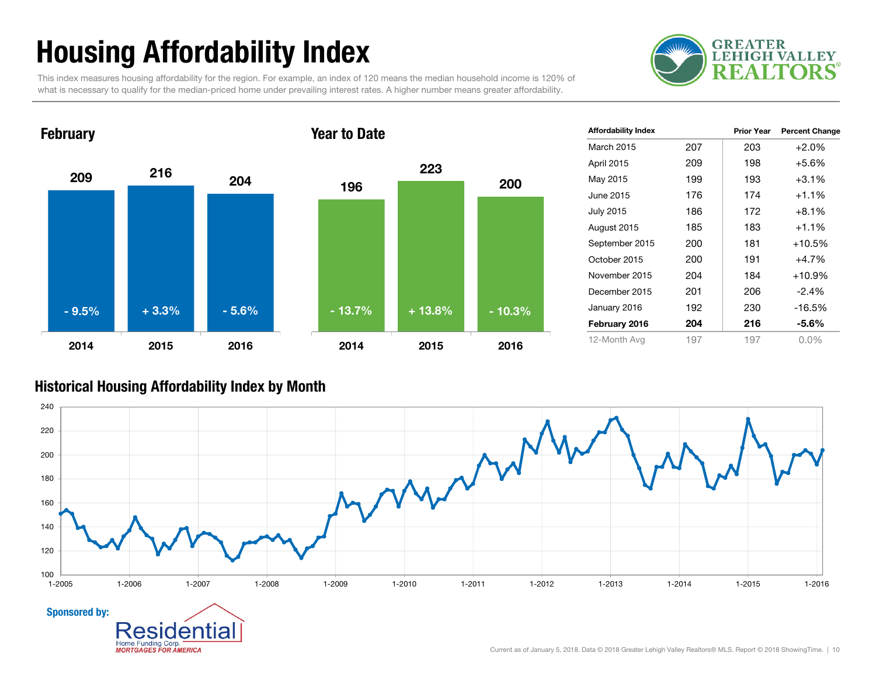### Housing Affordability Index

**GREATER LEHIGH VALLEY** 5

This index measures housing affordability for the region. For example, an index of 120 means the median household income is 120% of what is necessary to qualify for the median-priced home under prevailing interest rates. A higher number means greater affordability.



| <b>Affordability Index</b> |     | <b>Prior Year</b> | <b>Percent Change</b> |
|----------------------------|-----|-------------------|-----------------------|
| <b>March 2015</b>          | 207 | 203               | $+2.0%$               |
| April 2015                 | 209 | 198               | $+5.6%$               |
| May 2015                   | 199 | 193               | $+3.1%$               |
| June 2015                  | 176 | 174               | $+1.1%$               |
| <b>July 2015</b>           | 186 | 172               | $+8.1\%$              |
| August 2015                | 185 | 183               | $+1.1%$               |
| September 2015             | 200 | 181               | $+10.5%$              |
| October 2015               | 200 | 191               | $+4.7%$               |
| November 2015              | 204 | 184               | $+10.9%$              |
| December 2015              | 201 | 206               | $-2.4%$               |
| January 2016               | 192 | 230               | $-16.5%$              |
| February 2016              | 204 | 216               | $-5.6\%$              |
| 12-Month Avg               | 197 | 197               | $0.0\%$               |

#### Historical Housing Affordability Index by Mont h

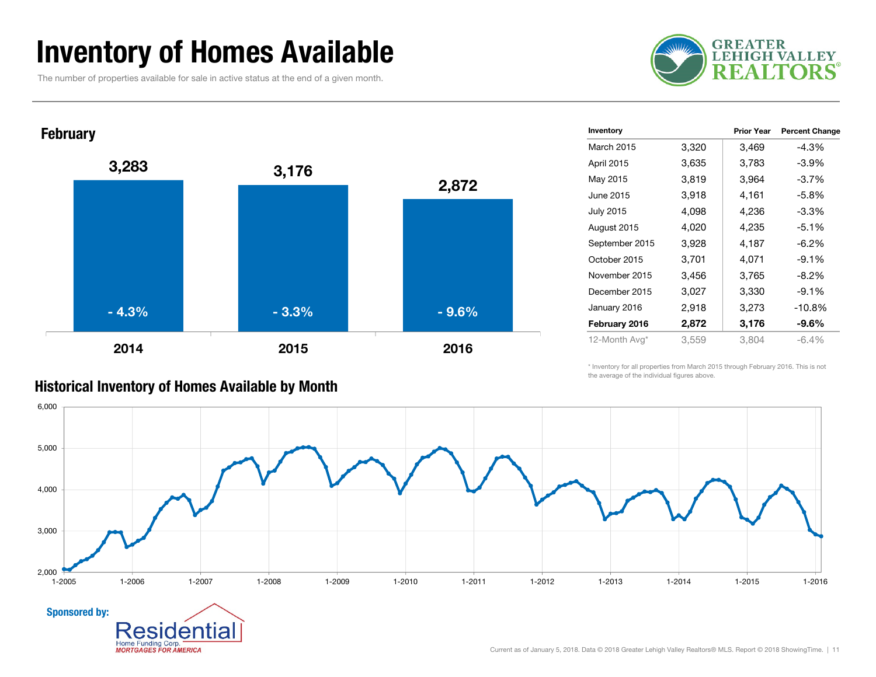### Inventory of Homes Available

The number of properties available for sale in active status at the end of a given month.

Home Funding Corp. **MORTGAGES FOR AMERICA** 





| Inventory        |       | <b>Prior Year</b> | <b>Percent Change</b> |
|------------------|-------|-------------------|-----------------------|
| March 2015       | 3,320 | 3,469             | $-4.3%$               |
| April 2015       | 3,635 | 3,783             | $-3.9\%$              |
| May 2015         | 3,819 | 3,964             | $-3.7%$               |
| June 2015        | 3,918 | 4,161             | $-5.8%$               |
| <b>July 2015</b> | 4,098 | 4,236             | $-3.3%$               |
| August 2015      | 4,020 | 4,235             | $-5.1%$               |
| September 2015   | 3,928 | 4,187             | $-6.2\%$              |
| October 2015     | 3,701 | 4,071             | $-9.1%$               |
| November 2015    | 3,456 | 3,765             | $-8.2%$               |
| December 2015    | 3,027 | 3,330             | $-9.1%$               |
| January 2016     | 2,918 | 3,273             | $-10.8%$              |
| February 2016    | 2,872 | 3,176             | $-9.6%$               |
| 12-Month Avg*    | 3,559 | 3,804             | $-6.4\%$              |

\* Inventory for all properties from March 2015 through February 2016. This is not the average of the individual figures above.

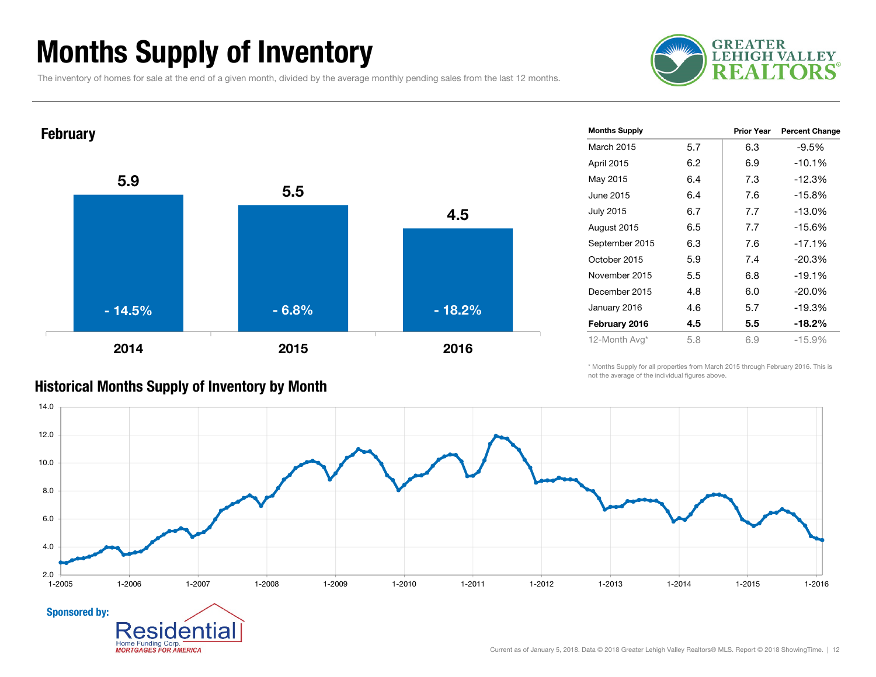### Months Supply of Inventory

The inventory of homes for sale at the end of a given month, divided by the average monthly pending sales from the last 12 months.





| <b>Months Supply</b> |     | Prior Year | <b>Percent Change</b> |
|----------------------|-----|------------|-----------------------|
| March 2015           | 5.7 | 6.3        | $-9.5%$               |
| April 2015           | 6.2 | 6.9        | $-10.1%$              |
| May 2015             | 6.4 | 7.3        | $-12.3%$              |
| June 2015            | 6.4 | 7.6        | $-15.8%$              |
| <b>July 2015</b>     | 6.7 | 7.7        | $-13.0%$              |
| August 2015          | 6.5 | 7.7        | $-15.6%$              |
| September 2015       | 6.3 | 7.6        | $-17.1%$              |
| October 2015         | 5.9 | 7.4        | $-20.3%$              |
| November 2015        | 5.5 | 6.8        | $-19.1%$              |
| December 2015        | 4.8 | 6.0        | $-20.0\%$             |
| January 2016         | 4.6 | 5.7        | $-19.3%$              |
| February 2016        | 4.5 | 5.5        | $-18.2%$              |
| 12-Month Avg*        | 5.8 | 6.9        | $-15.9%$              |

\* Months Supply for all properties from March 2015 through February 2016. This is not the average of the individual figures above.



#### Historical Months Supply of Inventory by Month

Home Funding Corp. **MORTGAGES FOR AMERICA**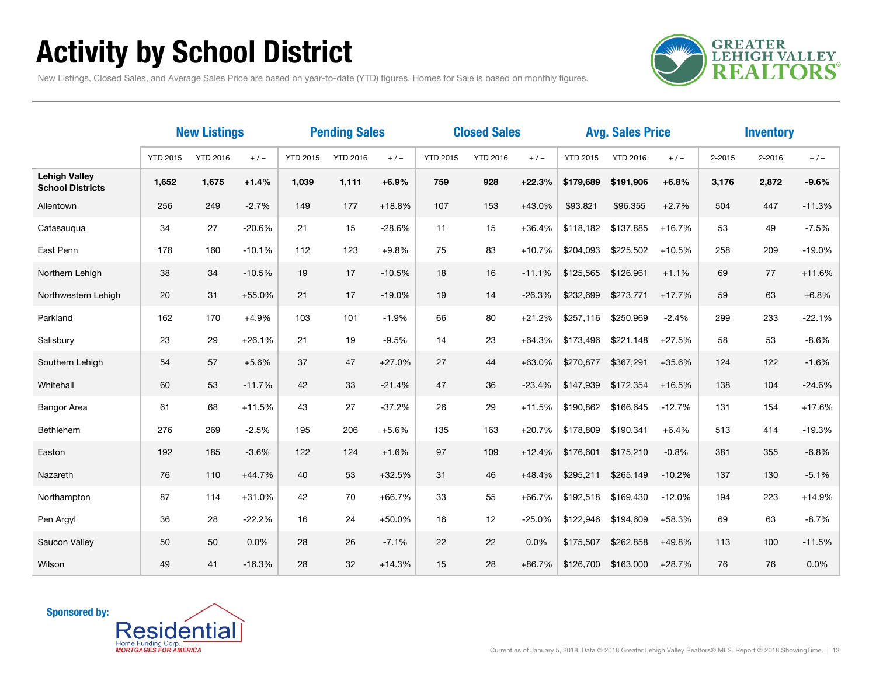### Activity by School District

**GREATER<br>LEHIGH VALLEY REALTORS** 

New Listings, Closed Sales, and Average Sales Price are based on year-to-date (YTD) figures. Homes for Sale is based on monthly figures.

|                                                 | <b>New Listings</b> |                 |          | <b>Pending Sales</b> |                 |          | <b>Closed Sales</b> |                 |          |                 | <b>Avg. Sales Price</b> |          | <b>Inventory</b> |        |          |
|-------------------------------------------------|---------------------|-----------------|----------|----------------------|-----------------|----------|---------------------|-----------------|----------|-----------------|-------------------------|----------|------------------|--------|----------|
|                                                 | <b>YTD 2015</b>     | <b>YTD 2016</b> | $+/-$    | <b>YTD 2015</b>      | <b>YTD 2016</b> | $+/-$    | <b>YTD 2015</b>     | <b>YTD 2016</b> | $+/-$    | <b>YTD 2015</b> | <b>YTD 2016</b>         | $+/-$    | $2 - 2015$       | 2-2016 | $+/-$    |
| <b>Lehigh Valley</b><br><b>School Districts</b> | 1,652               | 1,675           | $+1.4%$  | 1,039                | 1,111           | $+6.9%$  | 759                 | 928             | $+22.3%$ | \$179,689       | \$191,906               | $+6.8%$  | 3,176            | 2,872  | $-9.6%$  |
| Allentown                                       | 256                 | 249             | $-2.7%$  | 149                  | 177             | $+18.8%$ | 107                 | 153             | $+43.0%$ | \$93,821        | \$96,355                | $+2.7%$  | 504              | 447    | $-11.3%$ |
| Catasaugua                                      | 34                  | 27              | $-20.6%$ | 21                   | 15              | $-28.6%$ | 11                  | 15              | $+36.4%$ | \$118,182       | \$137,885               | $+16.7%$ | 53               | 49     | $-7.5%$  |
| East Penn                                       | 178                 | 160             | $-10.1%$ | 112                  | 123             | $+9.8%$  | 75                  | 83              | $+10.7%$ | \$204,093       | \$225,502               | $+10.5%$ | 258              | 209    | $-19.0%$ |
| Northern Lehigh                                 | 38                  | 34              | $-10.5%$ | 19                   | 17              | $-10.5%$ | 18                  | 16              | $-11.1%$ | \$125,565       | \$126,961               | $+1.1%$  | 69               | 77     | $+11.6%$ |
| Northwestern Lehigh                             | 20                  | 31              | $+55.0%$ | 21                   | 17              | $-19.0%$ | 19                  | 14              | $-26.3%$ | \$232,699       | \$273,771               | $+17.7%$ | 59               | 63     | $+6.8%$  |
| Parkland                                        | 162                 | 170             | $+4.9%$  | 103                  | 101             | $-1.9%$  | 66                  | 80              | $+21.2%$ | \$257,116       | \$250,969               | $-2.4%$  | 299              | 233    | $-22.1%$ |
| Salisbury                                       | 23                  | 29              | $+26.1%$ | 21                   | 19              | $-9.5%$  | 14                  | 23              | $+64.3%$ | \$173.496       | \$221.148               | $+27.5%$ | 58               | 53     | $-8.6%$  |
| Southern Lehigh                                 | 54                  | 57              | $+5.6%$  | 37                   | 47              | $+27.0%$ | 27                  | 44              | $+63.0%$ | \$270,877       | \$367,291               | $+35.6%$ | 124              | 122    | $-1.6%$  |
| Whitehall                                       | 60                  | 53              | $-11.7%$ | 42                   | 33              | $-21.4%$ | 47                  | 36              | $-23.4%$ | \$147,939       | \$172,354               | $+16.5%$ | 138              | 104    | $-24.6%$ |
| <b>Bangor Area</b>                              | 61                  | 68              | $+11.5%$ | 43                   | 27              | $-37.2%$ | 26                  | 29              | $+11.5%$ | \$190,862       | \$166,645               | $-12.7%$ | 131              | 154    | $+17.6%$ |
| Bethlehem                                       | 276                 | 269             | $-2.5%$  | 195                  | 206             | $+5.6%$  | 135                 | 163             | $+20.7%$ | \$178,809       | \$190,341               | $+6.4%$  | 513              | 414    | $-19.3%$ |
| Easton                                          | 192                 | 185             | $-3.6%$  | 122                  | 124             | $+1.6%$  | 97                  | 109             | $+12.4%$ | \$176,601       | \$175,210               | $-0.8%$  | 381              | 355    | $-6.8%$  |
| Nazareth                                        | 76                  | 110             | $+44.7%$ | 40                   | 53              | $+32.5%$ | 31                  | 46              | $+48.4%$ | \$295,211       | \$265,149               | $-10.2%$ | 137              | 130    | $-5.1%$  |
| Northampton                                     | 87                  | 114             | $+31.0%$ | 42                   | 70              | $+66.7%$ | 33                  | 55              | $+66.7%$ | \$192,518       | \$169,430               | $-12.0%$ | 194              | 223    | $+14.9%$ |
| Pen Argyl                                       | 36                  | 28              | $-22.2%$ | 16                   | 24              | $+50.0%$ | 16                  | 12              | $-25.0%$ | \$122,946       | \$194,609               | $+58.3%$ | 69               | 63     | $-8.7%$  |
| Saucon Valley                                   | 50                  | 50              | 0.0%     | 28                   | 26              | $-7.1%$  | 22                  | 22              | 0.0%     | \$175,507       | \$262,858               | +49.8%   | 113              | 100    | $-11.5%$ |
| Wilson                                          | 49                  | 41              | $-16.3%$ | 28                   | 32              | $+14.3%$ | 15                  | 28              | $+86.7%$ | \$126,700       | \$163,000               | $+28.7%$ | 76               | 76     | 0.0%     |

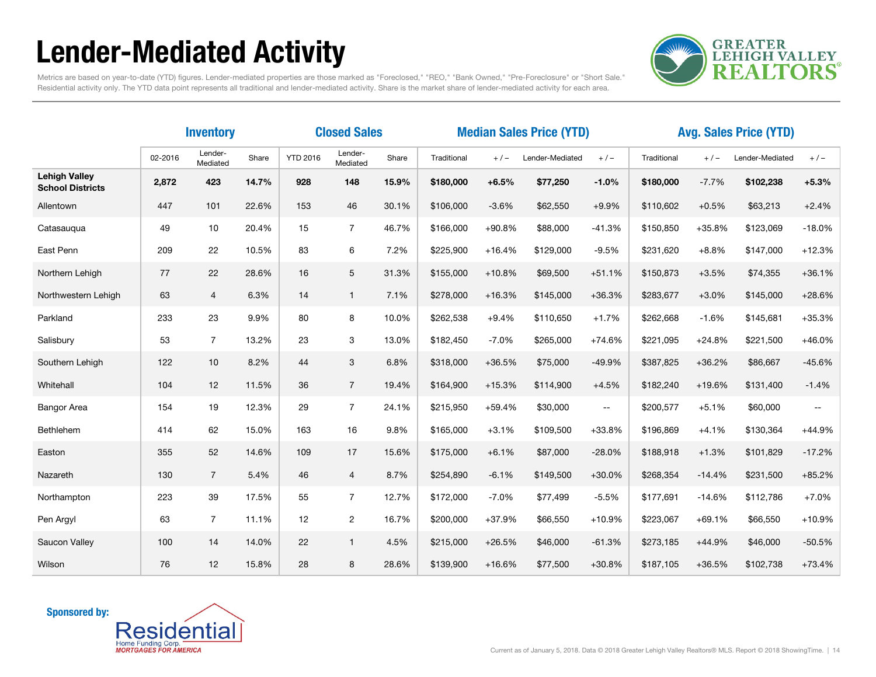### Lender-Mediated Activity



Metrics are based on year-to-date (YTD) figures. Lender-mediated properties are those marked as "Foreclosed," "REO," "Bank Owned," "Pre-Foreclosure" or "Short Sale." Residential activity only. The YTD data point represents all traditional and lender-mediated activity. Share is the market share of lender-mediated activity for each area.

|                                                 | <b>Inventory</b> |                     |       | <b>Closed Sales</b> |                     |       | <b>Median Sales Price (YTD)</b> |          |                 |                          | <b>Avg. Sales Price (YTD)</b> |          |                 |              |
|-------------------------------------------------|------------------|---------------------|-------|---------------------|---------------------|-------|---------------------------------|----------|-----------------|--------------------------|-------------------------------|----------|-----------------|--------------|
|                                                 | 02-2016          | Lender-<br>Mediated | Share | <b>YTD 2016</b>     | Lender-<br>Mediated | Share | Traditional                     | $+/-$    | Lender-Mediated | $+/-$                    | Traditional                   | $+/-$    | Lender-Mediated | $+/-$        |
| <b>Lehigh Valley</b><br><b>School Districts</b> | 2,872            | 423                 | 14.7% | 928                 | 148                 | 15.9% | \$180,000                       | $+6.5%$  | \$77,250        | $-1.0%$                  | \$180,000                     | $-7.7%$  | \$102,238       | $+5.3%$      |
| Allentown                                       | 447              | 101                 | 22.6% | 153                 | 46                  | 30.1% | \$106,000                       | $-3.6%$  | \$62,550        | $+9.9%$                  | \$110,602                     | $+0.5%$  | \$63,213        | $+2.4%$      |
| Catasauqua                                      | 49               | 10                  | 20.4% | 15                  | $\overline{7}$      | 46.7% | \$166,000                       | $+90.8%$ | \$88,000        | $-41.3%$                 | \$150,850                     | $+35.8%$ | \$123,069       | $-18.0%$     |
| East Penn                                       | 209              | 22                  | 10.5% | 83                  | 6                   | 7.2%  | \$225,900                       | $+16.4%$ | \$129,000       | $-9.5%$                  | \$231,620                     | $+8.8%$  | \$147,000       | $+12.3%$     |
| Northern Lehigh                                 | 77               | 22                  | 28.6% | 16                  | 5                   | 31.3% | \$155,000                       | $+10.8%$ | \$69,500        | $+51.1%$                 | \$150,873                     | $+3.5%$  | \$74,355        | $+36.1%$     |
| Northwestern Lehigh                             | 63               | $\overline{4}$      | 6.3%  | 14                  | $\mathbf{1}$        | 7.1%  | \$278,000                       | $+16.3%$ | \$145,000       | $+36.3%$                 | \$283,677                     | $+3.0%$  | \$145,000       | $+28.6%$     |
| Parkland                                        | 233              | 23                  | 9.9%  | 80                  | 8                   | 10.0% | \$262,538                       | $+9.4%$  | \$110,650       | $+1.7%$                  | \$262,668                     | $-1.6%$  | \$145,681       | $+35.3%$     |
| Salisbury                                       | 53               | $\overline{7}$      | 13.2% | 23                  | 3                   | 13.0% | \$182,450                       | $-7.0%$  | \$265,000       | $+74.6%$                 | \$221,095                     | $+24.8%$ | \$221,500       | +46.0%       |
| Southern Lehigh                                 | 122              | 10                  | 8.2%  | 44                  | 3                   | 6.8%  | \$318,000                       | +36.5%   | \$75,000        | $-49.9%$                 | \$387,825                     | $+36.2%$ | \$86,667        | $-45.6%$     |
| Whitehall                                       | 104              | 12                  | 11.5% | 36                  | $\overline{7}$      | 19.4% | \$164,900                       | $+15.3%$ | \$114,900       | $+4.5%$                  | \$182,240                     | $+19.6%$ | \$131,400       | $-1.4%$      |
| <b>Bangor Area</b>                              | 154              | 19                  | 12.3% | 29                  | $\overline{7}$      | 24.1% | \$215,950                       | +59.4%   | \$30,000        | $\overline{\phantom{m}}$ | \$200,577                     | $+5.1%$  | \$60,000        | $\mathbf{m}$ |
| Bethlehem                                       | 414              | 62                  | 15.0% | 163                 | 16                  | 9.8%  | \$165,000                       | $+3.1%$  | \$109,500       | $+33.8%$                 | \$196,869                     | $+4.1%$  | \$130,364       | $+44.9%$     |
| Easton                                          | 355              | 52                  | 14.6% | 109                 | 17                  | 15.6% | \$175,000                       | $+6.1%$  | \$87,000        | $-28.0%$                 | \$188,918                     | $+1.3%$  | \$101,829       | $-17.2%$     |
| Nazareth                                        | 130              | $\overline{7}$      | 5.4%  | 46                  | $\overline{4}$      | 8.7%  | \$254,890                       | $-6.1%$  | \$149,500       | $+30.0%$                 | \$268,354                     | $-14.4%$ | \$231,500       | $+85.2%$     |
| Northampton                                     | 223              | 39                  | 17.5% | 55                  | $\overline{7}$      | 12.7% | \$172,000                       | $-7.0%$  | \$77,499        | $-5.5%$                  | \$177,691                     | $-14.6%$ | \$112,786       | $+7.0%$      |
| Pen Argyl                                       | 63               | $\overline{7}$      | 11.1% | 12                  | $\overline{c}$      | 16.7% | \$200,000                       | +37.9%   | \$66,550        | $+10.9%$                 | \$223,067                     | $+69.1%$ | \$66,550        | $+10.9%$     |
| Saucon Valley                                   | 100              | 14                  | 14.0% | 22                  | $\mathbf{1}$        | 4.5%  | \$215,000                       | $+26.5%$ | \$46,000        | $-61.3%$                 | \$273,185                     | $+44.9%$ | \$46,000        | $-50.5%$     |
| Wilson                                          | 76               | 12                  | 15.8% | 28                  | 8                   | 28.6% | \$139,900                       | $+16.6%$ | \$77,500        | $+30.8%$                 | \$187,105                     | $+36.5%$ | \$102,738       | $+73.4%$     |